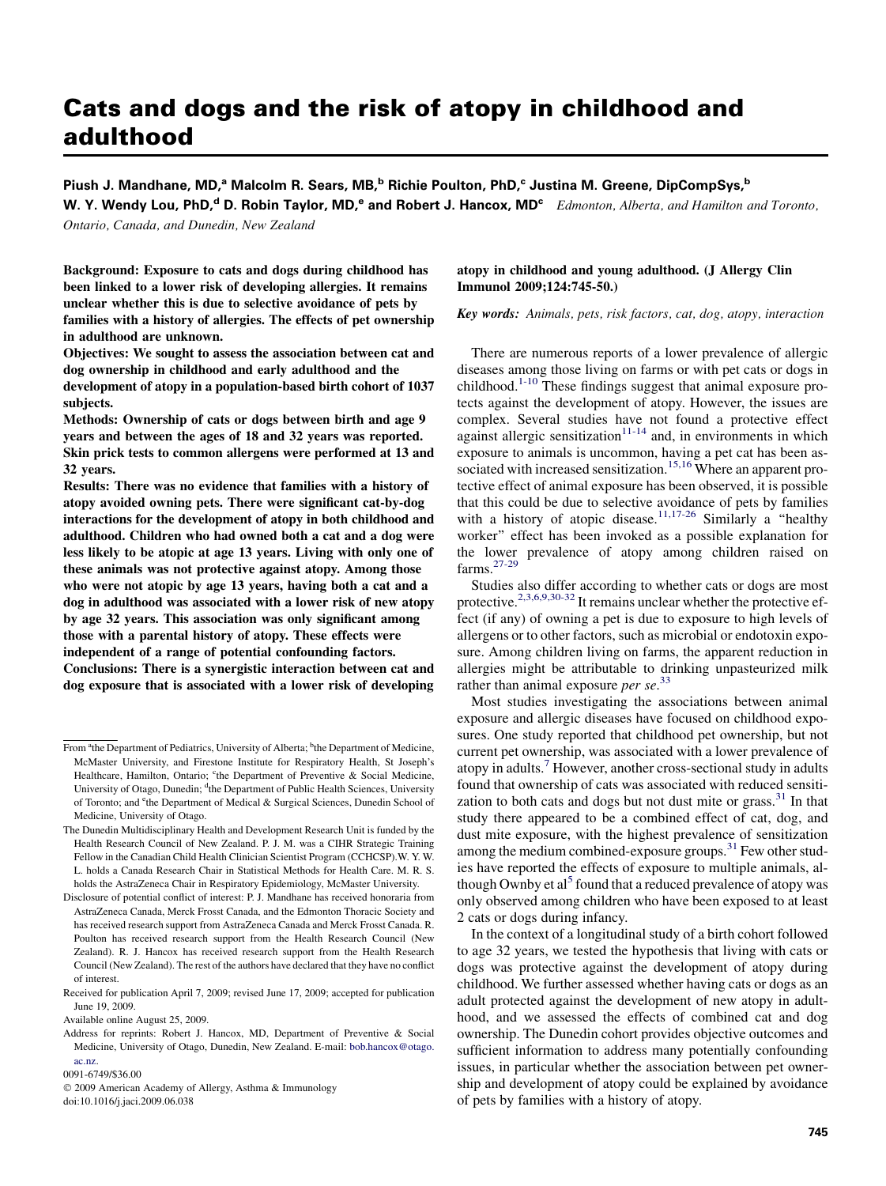# Cats and dogs and the risk of atopy in childhood and adulthood

Piush J. Mandhane, MD,<sup>a</sup> Malcolm R. Sears, MB,<sup>b</sup> Richie Poulton, PhD,<sup>c</sup> Justina M. Greene, DipCompSys,<sup>b</sup> W. Y. Wendy Lou, PhD,<sup>d</sup> D. Robin Taylor, MD,<sup>e</sup> and Robert J. Hancox, MD<sup>e</sup> Edmonton, Alberta, and Hamilton and Toronto,

Ontario, Canada, and Dunedin, New Zealand

Background: Exposure to cats and dogs during childhood has been linked to a lower risk of developing allergies. It remains unclear whether this is due to selective avoidance of pets by families with a history of allergies. The effects of pet ownership in adulthood are unknown.

Objectives: We sought to assess the association between cat and dog ownership in childhood and early adulthood and the development of atopy in a population-based birth cohort of 1037 subjects.

Methods: Ownership of cats or dogs between birth and age 9 years and between the ages of 18 and 32 years was reported. Skin prick tests to common allergens were performed at 13 and 32 years.

Results: There was no evidence that families with a history of atopy avoided owning pets. There were significant cat-by-dog interactions for the development of atopy in both childhood and adulthood. Children who had owned both a cat and a dog were less likely to be atopic at age 13 years. Living with only one of these animals was not protective against atopy. Among those who were not atopic by age 13 years, having both a cat and a dog in adulthood was associated with a lower risk of new atopy by age 32 years. This association was only significant among those with a parental history of atopy. These effects were independent of a range of potential confounding factors. Conclusions: There is a synergistic interaction between cat and dog exposure that is associated with a lower risk of developing

## atopy in childhood and young adulthood. (J Allergy Clin Immunol 2009;124:745-50.)

Key words: Animals, pets, risk factors, cat, dog, atopy, interaction

There are numerous reports of a lower prevalence of allergic diseases among those living on farms or with pet cats or dogs in childhood.<sup>1-10</sup> These findings suggest that animal exposure protects against the development of atopy. However, the issues are complex. Several studies have not found a protective effect against allergic sensitization<sup>[11-14](#page-5-0)</sup> and, in environments in which exposure to animals is uncommon, having a pet cat has been as-sociated with increased sensitization.<sup>[15,16](#page-5-0)</sup> Where an apparent protective effect of animal exposure has been observed, it is possible that this could be due to selective avoidance of pets by families with a history of atopic disease.<sup>[11,17-26](#page-5-0)</sup> Similarly a "healthy" worker'' effect has been invoked as a possible explanation for the lower prevalence of atopy among children raised on farms.[27-29](#page-5-0)

Studies also differ according to whether cats or dogs are most protective.<sup>[2,3,6,9,30-32](#page-5-0)</sup> It remains unclear whether the protective effect (if any) of owning a pet is due to exposure to high levels of allergens or to other factors, such as microbial or endotoxin exposure. Among children living on farms, the apparent reduction in allergies might be attributable to drinking unpasteurized milk rather than animal exposure per se. $33$ 

Most studies investigating the associations between animal exposure and allergic diseases have focused on childhood exposures. One study reported that childhood pet ownership, but not current pet ownership, was associated with a lower prevalence of atopy in adults.<sup>[7](#page-5-0)</sup> However, another cross-sectional study in adults found that ownership of cats was associated with reduced sensitization to both cats and dogs but not dust mite or grass. $31$  In that study there appeared to be a combined effect of cat, dog, and dust mite exposure, with the highest prevalence of sensitization among the medium combined-exposure groups.<sup>[31](#page-5-0)</sup> Few other studies have reported the effects of exposure to multiple animals, al-though Ownby et al<sup>[5](#page-5-0)</sup> found that a reduced prevalence of atopy was only observed among children who have been exposed to at least 2 cats or dogs during infancy.

In the context of a longitudinal study of a birth cohort followed to age 32 years, we tested the hypothesis that living with cats or dogs was protective against the development of atopy during childhood. We further assessed whether having cats or dogs as an adult protected against the development of new atopy in adulthood, and we assessed the effects of combined cat and dog ownership. The Dunedin cohort provides objective outcomes and sufficient information to address many potentially confounding issues, in particular whether the association between pet ownership and development of atopy could be explained by avoidance of pets by families with a history of atopy.

From <sup>a</sup>the Department of Pediatrics, University of Alberta; <sup>b</sup>the Department of Medicine, McMaster University, and Firestone Institute for Respiratory Health, St Joseph's Healthcare, Hamilton, Ontario; <sup>c</sup>the Department of Preventive & Social Medicine, University of Otago, Dunedin; <sup>d</sup>the Department of Public Health Sciences, University of Toronto; and <sup>e</sup>the Department of Medical & Surgical Sciences, Dunedin School of Medicine, University of Otago.

The Dunedin Multidisciplinary Health and Development Research Unit is funded by the Health Research Council of New Zealand. P. J. M. was a CIHR Strategic Training Fellow in the Canadian Child Health Clinician Scientist Program (CCHCSP).W. Y. W. L. holds a Canada Research Chair in Statistical Methods for Health Care. M. R. S. holds the AstraZeneca Chair in Respiratory Epidemiology, McMaster University.

Disclosure of potential conflict of interest: P. J. Mandhane has received honoraria from AstraZeneca Canada, Merck Frosst Canada, and the Edmonton Thoracic Society and has received research support from AstraZeneca Canada and Merck Frosst Canada. R. Poulton has received research support from the Health Research Council (New Zealand). R. J. Hancox has received research support from the Health Research Council (New Zealand). The rest of the authors have declared that they have no conflict of interest.

Received for publication April 7, 2009; revised June 17, 2009; accepted for publication June 19, 2009.

Available online August 25, 2009.

Address for reprints: Robert J. Hancox, MD, Department of Preventive & Social Medicine, University of Otago, Dunedin, New Zealand. E-mail: [bob.hancox@otago.](mailto:bob.hancox@otago.ac.nz) [ac.nz](mailto:bob.hancox@otago.ac.nz).

<sup>0091-6749/\$36.00</sup>

<sup>-</sup> 2009 American Academy of Allergy, Asthma & Immunology doi:10.1016/j.jaci.2009.06.038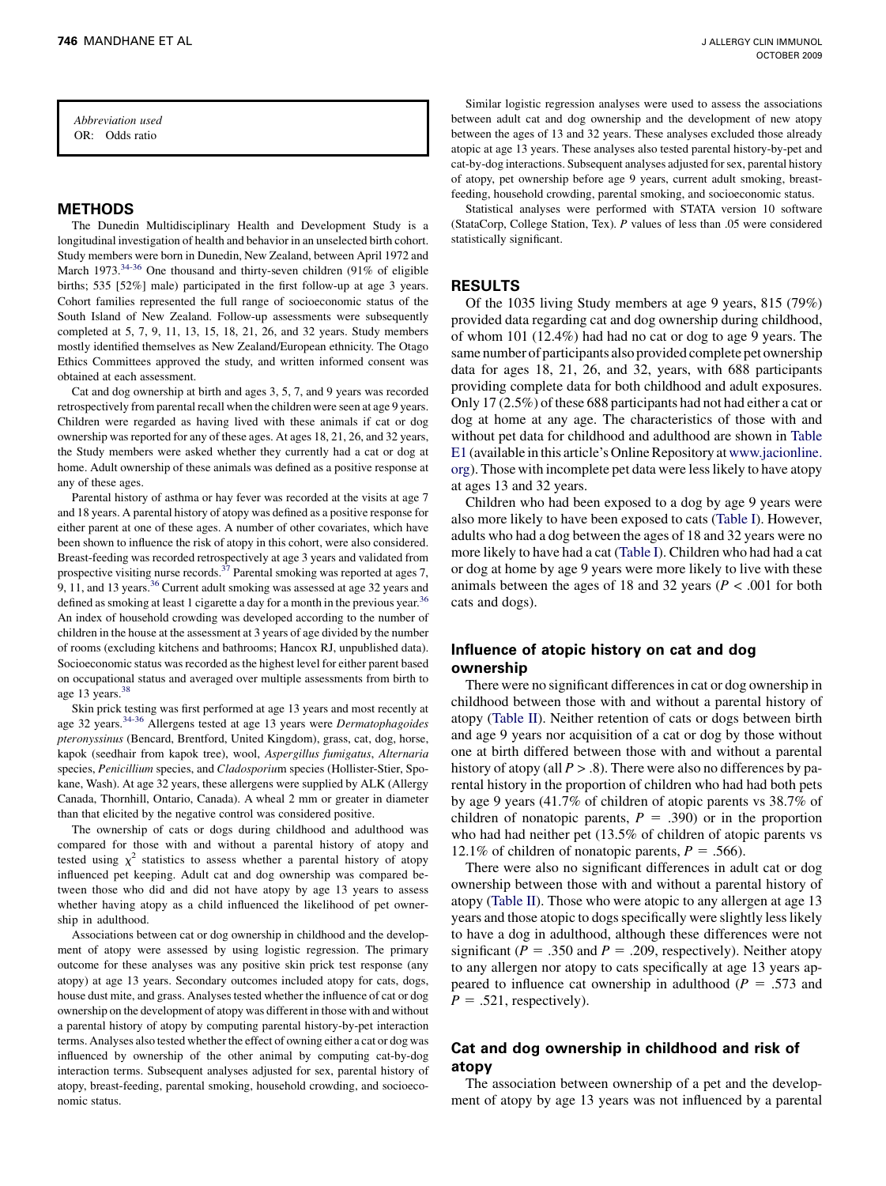Abbreviation used OR: Odds ratio

## METHODS

The Dunedin Multidisciplinary Health and Development Study is a longitudinal investigation of health and behavior in an unselected birth cohort. Study members were born in Dunedin, New Zealand, between April 1972 and March 1973.<sup>[34-36](#page-5-0)</sup> One thousand and thirty-seven children (91% of eligible births; 535 [52%] male) participated in the first follow-up at age 3 years. Cohort families represented the full range of socioeconomic status of the South Island of New Zealand. Follow-up assessments were subsequently completed at 5, 7, 9, 11, 13, 15, 18, 21, 26, and 32 years. Study members mostly identified themselves as New Zealand/European ethnicity. The Otago Ethics Committees approved the study, and written informed consent was obtained at each assessment.

Cat and dog ownership at birth and ages 3, 5, 7, and 9 years was recorded retrospectively from parental recall when the children were seen at age 9 years. Children were regarded as having lived with these animals if cat or dog ownership was reported for any of these ages. At ages 18, 21, 26, and 32 years, the Study members were asked whether they currently had a cat or dog at home. Adult ownership of these animals was defined as a positive response at any of these ages.

Parental history of asthma or hay fever was recorded at the visits at age 7 and 18 years. A parental history of atopy was defined as a positive response for either parent at one of these ages. A number of other covariates, which have been shown to influence the risk of atopy in this cohort, were also considered. Breast-feeding was recorded retrospectively at age 3 years and validated from prospective visiting nurse records.<sup>37</sup> Parental smoking was reported at ages 7, 9, 11, and 13 years.<sup>[36](#page-5-0)</sup> Current adult smoking was assessed at age 32 years and defined as smoking at least 1 cigarette a day for a month in the previous year.<sup>[36](#page-5-0)</sup> An index of household crowding was developed according to the number of children in the house at the assessment at 3 years of age divided by the number of rooms (excluding kitchens and bathrooms; Hancox RJ, unpublished data). Socioeconomic status was recorded as the highest level for either parent based on occupational status and averaged over multiple assessments from birth to age 13 years.[38](#page-5-0)

Skin prick testing was first performed at age 13 years and most recently at age 32 years.<sup>[34-36](#page-5-0)</sup> Allergens tested at age 13 years were *Dermatophagoides* pteronyssinus (Bencard, Brentford, United Kingdom), grass, cat, dog, horse, kapok (seedhair from kapok tree), wool, Aspergillus fumigatus, Alternaria species, Penicillium species, and Cladosporium species (Hollister-Stier, Spokane, Wash). At age 32 years, these allergens were supplied by ALK (Allergy Canada, Thornhill, Ontario, Canada). A wheal 2 mm or greater in diameter than that elicited by the negative control was considered positive.

The ownership of cats or dogs during childhood and adulthood was compared for those with and without a parental history of atopy and tested using  $\chi^2$  statistics to assess whether a parental history of atopy influenced pet keeping. Adult cat and dog ownership was compared between those who did and did not have atopy by age 13 years to assess whether having atopy as a child influenced the likelihood of pet ownership in adulthood.

Associations between cat or dog ownership in childhood and the development of atopy were assessed by using logistic regression. The primary outcome for these analyses was any positive skin prick test response (any atopy) at age 13 years. Secondary outcomes included atopy for cats, dogs, house dust mite, and grass. Analyses tested whether the influence of cat or dog ownership on the development of atopy was different in those with and without a parental history of atopy by computing parental history-by-pet interaction terms. Analyses also tested whether the effect of owning either a cat or dog was influenced by ownership of the other animal by computing cat-by-dog interaction terms. Subsequent analyses adjusted for sex, parental history of atopy, breast-feeding, parental smoking, household crowding, and socioeconomic status.

Similar logistic regression analyses were used to assess the associations between adult cat and dog ownership and the development of new atopy between the ages of 13 and 32 years. These analyses excluded those already atopic at age 13 years. These analyses also tested parental history-by-pet and cat-by-dog interactions. Subsequent analyses adjusted for sex, parental history of atopy, pet ownership before age 9 years, current adult smoking, breastfeeding, household crowding, parental smoking, and socioeconomic status.

Statistical analyses were performed with STATA version 10 software (StataCorp, College Station, Tex). P values of less than .05 were considered statistically significant.

## RESULTS

Of the 1035 living Study members at age 9 years, 815 (79%) provided data regarding cat and dog ownership during childhood, of whom 101 (12.4%) had had no cat or dog to age 9 years. The same number of participants also provided complete pet ownership data for ages 18, 21, 26, and 32, years, with 688 participants providing complete data for both childhood and adult exposures. Only 17 (2.5%) of these 688 participants had not had either a cat or dog at home at any age. The characteristics of those with and without pet data for childhood and adulthood are shown in Table E1 (available in this article's Online Repository at [www.jacionline.](http://www.jacionline.org) [org](http://www.jacionline.org)). Those with incomplete pet data were less likely to have atopy at ages 13 and 32 years.

Children who had been exposed to a dog by age 9 years were also more likely to have been exposed to cats ([Table I](#page-2-0)). However, adults who had a dog between the ages of 18 and 32 years were no more likely to have had a cat ([Table I\)](#page-2-0). Children who had had a cat or dog at home by age 9 years were more likely to live with these animals between the ages of 18 and 32 years ( $P < .001$  for both cats and dogs).

# Influence of atopic history on cat and dog ownership

There were no significant differences in cat or dog ownership in childhood between those with and without a parental history of atopy [\(Table II](#page-2-0)). Neither retention of cats or dogs between birth and age 9 years nor acquisition of a cat or dog by those without one at birth differed between those with and without a parental history of atopy (all  $P > .8$ ). There were also no differences by parental history in the proportion of children who had had both pets by age 9 years (41.7% of children of atopic parents vs 38.7% of children of nonatopic parents,  $P = .390$  or in the proportion who had had neither pet (13.5% of children of atopic parents vs 12.1% of children of nonatopic parents,  $P = .566$ ).

There were also no significant differences in adult cat or dog ownership between those with and without a parental history of atopy [\(Table II\)](#page-2-0). Those who were atopic to any allergen at age 13 years and those atopic to dogs specifically were slightly less likely to have a dog in adulthood, although these differences were not significant ( $P = .350$  and  $P = .209$ , respectively). Neither atopy to any allergen nor atopy to cats specifically at age 13 years appeared to influence cat ownership in adulthood ( $P = .573$  and  $P = .521$ , respectively).

# Cat and dog ownership in childhood and risk of atopy

The association between ownership of a pet and the development of atopy by age 13 years was not influenced by a parental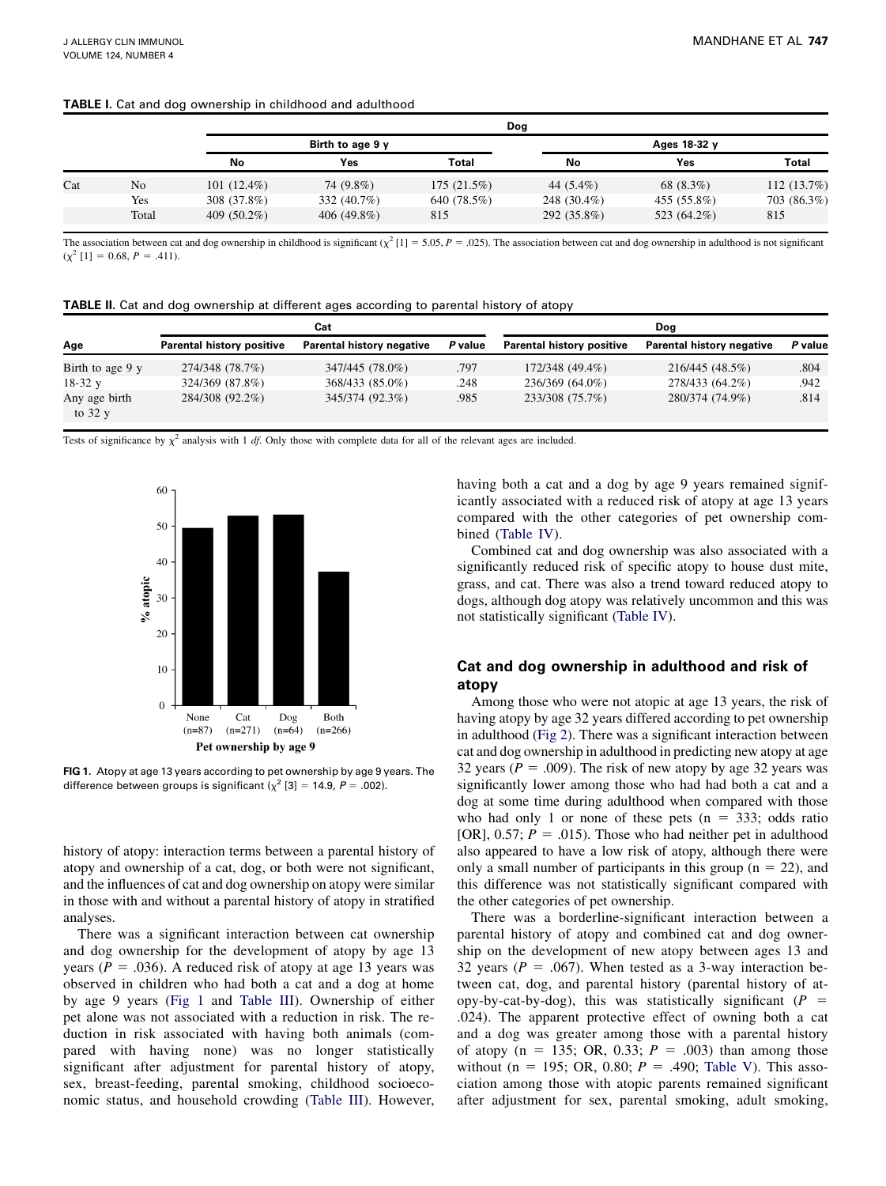# <span id="page-2-0"></span>TABLE I. Cat and dog ownership in childhood and adulthood

|     |       |                |                  |              | Dog          |              |               |
|-----|-------|----------------|------------------|--------------|--------------|--------------|---------------|
|     |       |                | Birth to age 9 y |              |              | Ages 18-32 y |               |
|     |       | No             | Yes              | <b>Total</b> | No           | Yes          | <b>Total</b>  |
| Cat | No    | $101(12.4\%)$  | 74 (9.8%)        | 175(21.5%)   | 44 $(5.4\%)$ | 68 (8.3%)    | 112 $(13.7%)$ |
|     | Yes   | 308 (37.8%)    | 332 (40.7%)      | 640 (78.5%)  | 248 (30.4%)  | 455 (55.8%)  | 703 (86.3%)   |
|     | Total | 409 $(50.2\%)$ | 406 (49.8%)      | 815          | 292 (35.8%)  | 523 (64.2%)  | 815           |

The association between cat and dog ownership in childhood is significant  $(\chi^2 [1] = 5.05, P = .025)$ . The association between cat and dog ownership in adulthood is not significant  $(\chi^2$  [1] = 0.68,  $P = .411$ ).

| TABLE II. Cat and dog ownership at different ages according to parental history of atopy |  |  |
|------------------------------------------------------------------------------------------|--|--|
|------------------------------------------------------------------------------------------|--|--|

|                           |                                  | Cat                       |         |                                  | Dog                       |         |
|---------------------------|----------------------------------|---------------------------|---------|----------------------------------|---------------------------|---------|
| Age                       | <b>Parental history positive</b> | Parental history negative | P value | <b>Parental history positive</b> | Parental history negative | P value |
| Birth to age 9 y          | 274/348 (78.7%)                  | 347/445 (78.0%)           | .797    | 172/348 (49.4%)                  | 216/445 (48.5%)           | .804    |
| $18-32$ y                 | 324/369 (87.8%)                  | 368/433 (85.0%)           | .248    | 236/369 (64.0%)                  | 278/433 (64.2%)           | .942    |
| Any age birth<br>to $32y$ | 284/308 (92.2%)                  | 345/374 (92.3%)           | .985    | 233/308 (75.7%)                  | 280/374 (74.9%)           | .814    |

Tests of significance by  $\chi^2$  analysis with 1 *df*. Only those with complete data for all of the relevant ages are included.



FIG 1. Atopy at age 13 years according to pet ownership by age 9 years. The difference between groups is significant  $\chi^2$  [3] = 14.9, P = .002).

history of atopy: interaction terms between a parental history of atopy and ownership of a cat, dog, or both were not significant, and the influences of cat and dog ownership on atopy were similar in those with and without a parental history of atopy in stratified analyses.

There was a significant interaction between cat ownership and dog ownership for the development of atopy by age 13 years ( $P = .036$ ). A reduced risk of atopy at age 13 years was observed in children who had both a cat and a dog at home by age 9 years (Fig 1 and [Table III](#page-3-0)). Ownership of either pet alone was not associated with a reduction in risk. The reduction in risk associated with having both animals (compared with having none) was no longer statistically significant after adjustment for parental history of atopy, sex, breast-feeding, parental smoking, childhood socioeconomic status, and household crowding ([Table III](#page-3-0)). However, having both a cat and a dog by age 9 years remained significantly associated with a reduced risk of atopy at age 13 years compared with the other categories of pet ownership combined [\(Table IV\)](#page-3-0).

Combined cat and dog ownership was also associated with a significantly reduced risk of specific atopy to house dust mite, grass, and cat. There was also a trend toward reduced atopy to dogs, although dog atopy was relatively uncommon and this was not statistically significant ([Table IV](#page-3-0)).

# Cat and dog ownership in adulthood and risk of atopy

Among those who were not atopic at age 13 years, the risk of having atopy by age 32 years differed according to pet ownership in adulthood [\(Fig 2\)](#page-3-0). There was a significant interaction between cat and dog ownership in adulthood in predicting new atopy at age 32 years ( $P = .009$ ). The risk of new atopy by age 32 years was significantly lower among those who had had both a cat and a dog at some time during adulthood when compared with those who had only 1 or none of these pets  $(n = 333;$  odds ratio [OR], 0.57;  $P = .015$ ). Those who had neither pet in adulthood also appeared to have a low risk of atopy, although there were only a small number of participants in this group ( $n = 22$ ), and this difference was not statistically significant compared with the other categories of pet ownership.

There was a borderline-significant interaction between a parental history of atopy and combined cat and dog ownership on the development of new atopy between ages 13 and 32 years ( $P = .067$ ). When tested as a 3-way interaction between cat, dog, and parental history (parental history of atopy-by-cat-by-dog), this was statistically significant ( $P =$ .024). The apparent protective effect of owning both a cat and a dog was greater among those with a parental history of atopy (n = 135; OR, 0.33;  $P = .003$ ) than among those without (n = 195; OR, 0.80;  $P = .490$ ; [Table V](#page-4-0)). This association among those with atopic parents remained significant after adjustment for sex, parental smoking, adult smoking,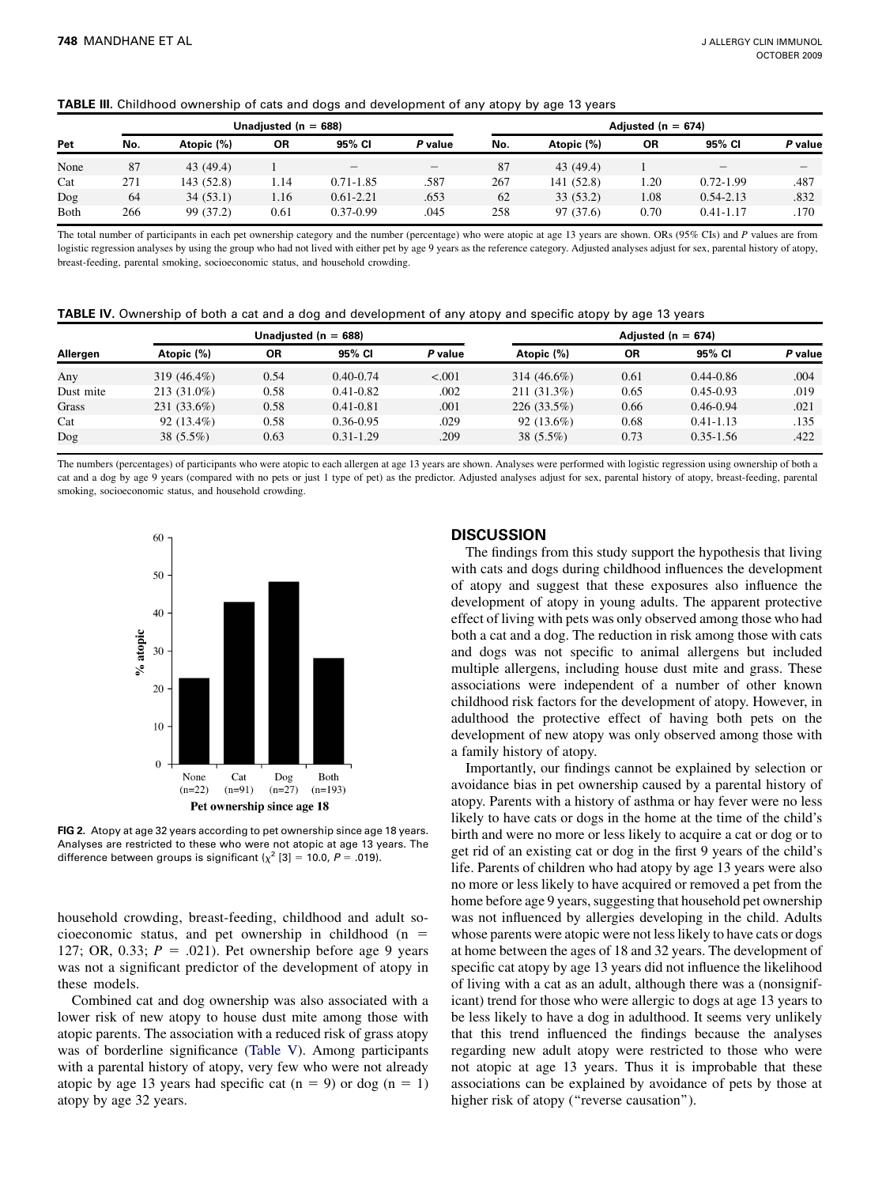<span id="page-3-0"></span>

|  |  |  |  |  | <b>TABLE III.</b> Childhood ownership of cats and dogs and development of any atopy by age 13 years |  |  |  |  |
|--|--|--|--|--|-----------------------------------------------------------------------------------------------------|--|--|--|--|
|--|--|--|--|--|-----------------------------------------------------------------------------------------------------|--|--|--|--|

|      |     |            | Unadjusted ( $n = 688$ ) |                          |                   |     |            | Adjusted ( $n = 674$ ) |               |         |
|------|-----|------------|--------------------------|--------------------------|-------------------|-----|------------|------------------------|---------------|---------|
| Pet  | No. | Atopic (%) | ΟR                       | 95% CI                   | P value           | No. | Atopic (%) | ΟR                     | 95% CI        | P value |
| None | 87  | 43 (49.4)  |                          | $\overline{\phantom{a}}$ | $\hspace{0.05cm}$ | 87  | 43 (49.4)  |                        | -             |         |
| Cat  | 271 | 143 (52.8) | 1.14                     | $0.71 - 1.85$            | .587              | 267 | 141 (52.8) | 1.20                   | $0.72 - 1.99$ | .487    |
| Dog  | 64  | 34(53.1)   | 1.16                     | $0.61 - 2.21$            | .653              | 62  | 33 (53.2)  | 1.08                   | $0.54 - 2.13$ | .832    |
| Both | 266 | 99 (37.2)  | 0.61                     | $0.37 - 0.99$            | .045              | 258 | 97 (37.6)  | 0.70                   | $0.41 - 1.17$ | .170    |

The total number of participants in each pet ownership category and the number (percentage) who were atopic at age 13 years are shown. ORs (95% CIs) and P values are from logistic regression analyses by using the group who had not lived with either pet by age 9 years as the reference category. Adjusted analyses adjust for sex, parental history of atopy, breast-feeding, parental smoking, socioeconomic status, and household crowding.

| TABLE IV. Ownership of both a cat and a dog and development of any atopy and specific atopy by age 13 years |  |  |  |  |  |
|-------------------------------------------------------------------------------------------------------------|--|--|--|--|--|
|-------------------------------------------------------------------------------------------------------------|--|--|--|--|--|

|           |                |      | Unadjusted ( $n = 688$ ) |         | Adjusted ( $n = 674$ ) |           |               |         |  |
|-----------|----------------|------|--------------------------|---------|------------------------|-----------|---------------|---------|--|
| Allergen  | Atopic (%)     | ΟR   | 95% CI                   | P value | Atopic (%)             | <b>OR</b> | 95% CI        | P value |  |
| Any       | 319 $(46.4\%)$ | 0.54 | $0.40 - 0.74$            | < .001  | 314 $(46.6\%)$         | 0.61      | $0.44 - 0.86$ | .004    |  |
| Dust mite | $213(31.0\%)$  | 0.58 | $0.41 - 0.82$            | .002    | 211 (31.3%)            | 0.65      | $0.45 - 0.93$ | .019    |  |
| Grass     | 231 (33.6%)    | 0.58 | $0.41 - 0.81$            | .001    | $226(33.5\%)$          | 0.66      | $0.46 - 0.94$ | .021    |  |
| Cat       | $92(13.4\%)$   | 0.58 | $0.36 - 0.95$            | .029    | $92(13.6\%)$           | 0.68      | $0.41 - 1.13$ | .135    |  |
| $\log$    | $38(5.5\%)$    | 0.63 | $0.31 - 1.29$            | .209    | 38 (5.5%)              | 0.73      | $0.35 - 1.56$ | .422    |  |

The numbers (percentages) of participants who were atopic to each allergen at age 13 years are shown. Analyses were performed with logistic regression using ownership of both a cat and a dog by age 9 years (compared with no pets or just 1 type of pet) as the predictor. Adjusted analyses adjust for sex, parental history of atopy, breast-feeding, parental smoking, socioeconomic status, and household crowding.



FIG 2. Atopy at age 32 years according to pet ownership since age 18 years. Analyses are restricted to these who were not atopic at age 13 years. The difference between groups is significant ( $\chi^2$  [3] = 10.0, P = .019).

household crowding, breast-feeding, childhood and adult socioeconomic status, and pet ownership in childhood ( $n =$ 127; OR, 0.33;  $P = .021$ ). Pet ownership before age 9 years was not a significant predictor of the development of atopy in these models.

Combined cat and dog ownership was also associated with a lower risk of new atopy to house dust mite among those with atopic parents. The association with a reduced risk of grass atopy was of borderline significance ([Table V\)](#page-4-0). Among participants with a parental history of atopy, very few who were not already atopic by age 13 years had specific cat  $(n = 9)$  or dog  $(n = 1)$ atopy by age 32 years.

# **DISCUSSION**

The findings from this study support the hypothesis that living with cats and dogs during childhood influences the development of atopy and suggest that these exposures also influence the development of atopy in young adults. The apparent protective effect of living with pets was only observed among those who had both a cat and a dog. The reduction in risk among those with cats and dogs was not specific to animal allergens but included multiple allergens, including house dust mite and grass. These associations were independent of a number of other known childhood risk factors for the development of atopy. However, in adulthood the protective effect of having both pets on the development of new atopy was only observed among those with a family history of atopy.

Importantly, our findings cannot be explained by selection or avoidance bias in pet ownership caused by a parental history of atopy. Parents with a history of asthma or hay fever were no less likely to have cats or dogs in the home at the time of the child's birth and were no more or less likely to acquire a cat or dog or to get rid of an existing cat or dog in the first 9 years of the child's life. Parents of children who had atopy by age 13 years were also no more or less likely to have acquired or removed a pet from the home before age 9 years, suggesting that household pet ownership was not influenced by allergies developing in the child. Adults whose parents were atopic were not less likely to have cats or dogs at home between the ages of 18 and 32 years. The development of specific cat atopy by age 13 years did not influence the likelihood of living with a cat as an adult, although there was a (nonsignificant) trend for those who were allergic to dogs at age 13 years to be less likely to have a dog in adulthood. It seems very unlikely that this trend influenced the findings because the analyses regarding new adult atopy were restricted to those who were not atopic at age 13 years. Thus it is improbable that these associations can be explained by avoidance of pets by those at higher risk of atopy ("reverse causation").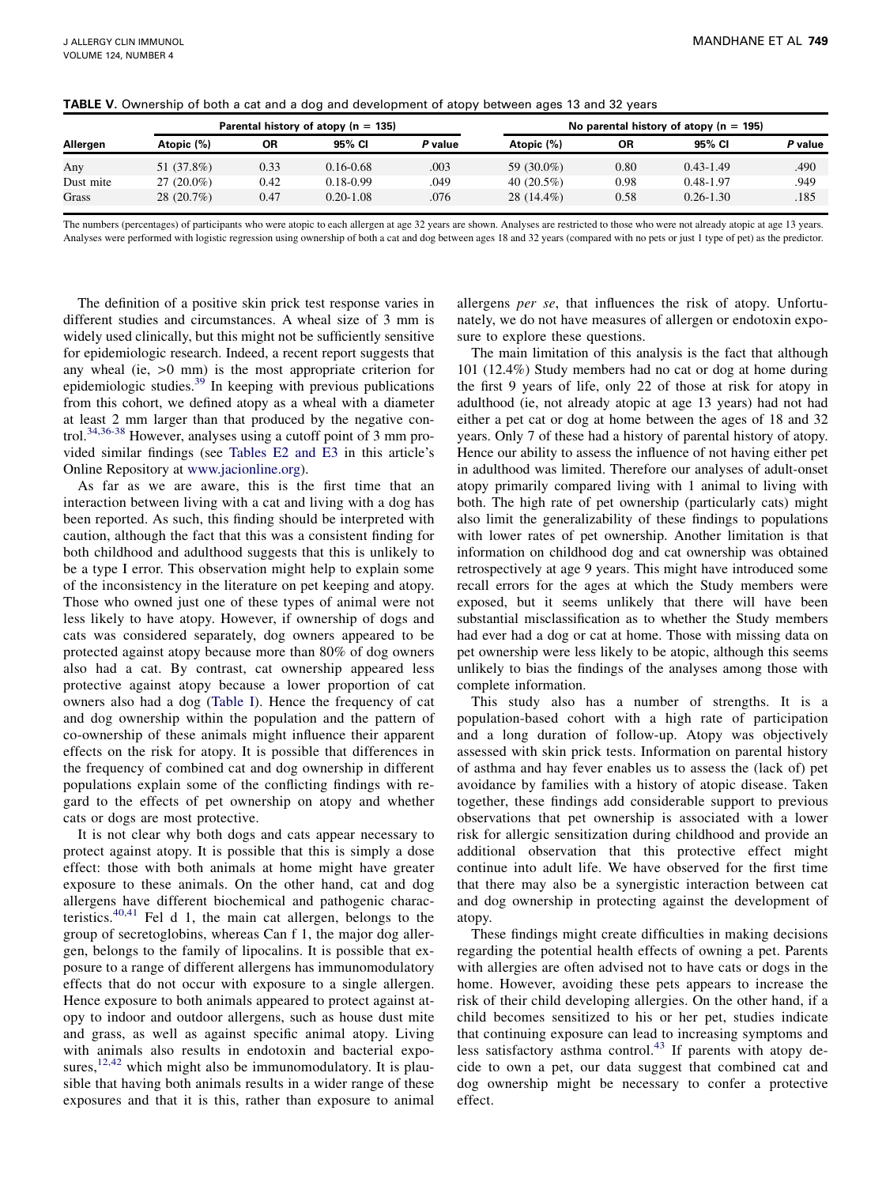<span id="page-4-0"></span>

| TABLE V. Ownership of both a cat and a dog and development of atopy between ages 13 and 32 years |  |
|--------------------------------------------------------------------------------------------------|--|
|--------------------------------------------------------------------------------------------------|--|

|           |              |      | Parental history of atopy $(n = 135)$ |         |               |      | No parental history of atopy ( $n = 195$ ) |         |
|-----------|--------------|------|---------------------------------------|---------|---------------|------|--------------------------------------------|---------|
| Allergen  | Atopic (%)   | ΟR   | 95% CI                                | P value | Atopic (%)    | ΟR   | 95% CI                                     | P value |
| Any       | 51 (37.8%)   | 0.33 | $0.16 - 0.68$                         | .003    | 59 (30.0%)    | 0.80 | $0.43 - 1.49$                              | .490    |
| Dust mite | $27(20.0\%)$ | 0.42 | $0.18 - 0.99$                         | .049    | 40 $(20.5\%)$ | 0.98 | 0.48-1.97                                  | .949    |
| Grass     | 28 (20.7%)   | 0.47 | $0.20 - 1.08$                         | .076    | 28 (14.4%)    | 0.58 | $0.26 - 1.30$                              | .185    |

The numbers (percentages) of participants who were atopic to each allergen at age 32 years are shown. Analyses are restricted to those who were not already atopic at age 13 years. Analyses were performed with logistic regression using ownership of both a cat and dog between ages 18 and 32 years (compared with no pets or just 1 type of pet) as the predictor.

The definition of a positive skin prick test response varies in different studies and circumstances. A wheal size of 3 mm is widely used clinically, but this might not be sufficiently sensitive for epidemiologic research. Indeed, a recent report suggests that any wheal (ie, >0 mm) is the most appropriate criterion for epidemiologic studies. $39$  In keeping with previous publications from this cohort, we defined atopy as a wheal with a diameter at least 2 mm larger than that produced by the negative con-trol.<sup>[34,36-38](#page-5-0)</sup> However, analyses using a cutoff point of 3 mm provided similar findings (see Tables E2 and E3 in this article's Online Repository at [www.jacionline.org](http://www.jacionline.org)).

As far as we are aware, this is the first time that an interaction between living with a cat and living with a dog has been reported. As such, this finding should be interpreted with caution, although the fact that this was a consistent finding for both childhood and adulthood suggests that this is unlikely to be a type I error. This observation might help to explain some of the inconsistency in the literature on pet keeping and atopy. Those who owned just one of these types of animal were not less likely to have atopy. However, if ownership of dogs and cats was considered separately, dog owners appeared to be protected against atopy because more than 80% of dog owners also had a cat. By contrast, cat ownership appeared less protective against atopy because a lower proportion of cat owners also had a dog ([Table I](#page-2-0)). Hence the frequency of cat and dog ownership within the population and the pattern of co-ownership of these animals might influence their apparent effects on the risk for atopy. It is possible that differences in the frequency of combined cat and dog ownership in different populations explain some of the conflicting findings with regard to the effects of pet ownership on atopy and whether cats or dogs are most protective.

It is not clear why both dogs and cats appear necessary to protect against atopy. It is possible that this is simply a dose effect: those with both animals at home might have greater exposure to these animals. On the other hand, cat and dog allergens have different biochemical and pathogenic characteristics. $40,41$  Fel d 1, the main cat allergen, belongs to the group of secretoglobins, whereas Can f 1, the major dog allergen, belongs to the family of lipocalins. It is possible that exposure to a range of different allergens has immunomodulatory effects that do not occur with exposure to a single allergen. Hence exposure to both animals appeared to protect against atopy to indoor and outdoor allergens, such as house dust mite and grass, as well as against specific animal atopy. Living with animals also results in endotoxin and bacterial exposures, $12,42$  which might also be immunomodulatory. It is plausible that having both animals results in a wider range of these exposures and that it is this, rather than exposure to animal

allergens per se, that influences the risk of atopy. Unfortunately, we do not have measures of allergen or endotoxin exposure to explore these questions.

The main limitation of this analysis is the fact that although 101 (12.4%) Study members had no cat or dog at home during the first 9 years of life, only 22 of those at risk for atopy in adulthood (ie, not already atopic at age 13 years) had not had either a pet cat or dog at home between the ages of 18 and 32 years. Only 7 of these had a history of parental history of atopy. Hence our ability to assess the influence of not having either pet in adulthood was limited. Therefore our analyses of adult-onset atopy primarily compared living with 1 animal to living with both. The high rate of pet ownership (particularly cats) might also limit the generalizability of these findings to populations with lower rates of pet ownership. Another limitation is that information on childhood dog and cat ownership was obtained retrospectively at age 9 years. This might have introduced some recall errors for the ages at which the Study members were exposed, but it seems unlikely that there will have been substantial misclassification as to whether the Study members had ever had a dog or cat at home. Those with missing data on pet ownership were less likely to be atopic, although this seems unlikely to bias the findings of the analyses among those with complete information.

This study also has a number of strengths. It is a population-based cohort with a high rate of participation and a long duration of follow-up. Atopy was objectively assessed with skin prick tests. Information on parental history of asthma and hay fever enables us to assess the (lack of) pet avoidance by families with a history of atopic disease. Taken together, these findings add considerable support to previous observations that pet ownership is associated with a lower risk for allergic sensitization during childhood and provide an additional observation that this protective effect might continue into adult life. We have observed for the first time that there may also be a synergistic interaction between cat and dog ownership in protecting against the development of atopy.

These findings might create difficulties in making decisions regarding the potential health effects of owning a pet. Parents with allergies are often advised not to have cats or dogs in the home. However, avoiding these pets appears to increase the risk of their child developing allergies. On the other hand, if a child becomes sensitized to his or her pet, studies indicate that continuing exposure can lead to increasing symptoms and less satisfactory asthma control.<sup>[43](#page-5-0)</sup> If parents with atopy decide to own a pet, our data suggest that combined cat and dog ownership might be necessary to confer a protective effect.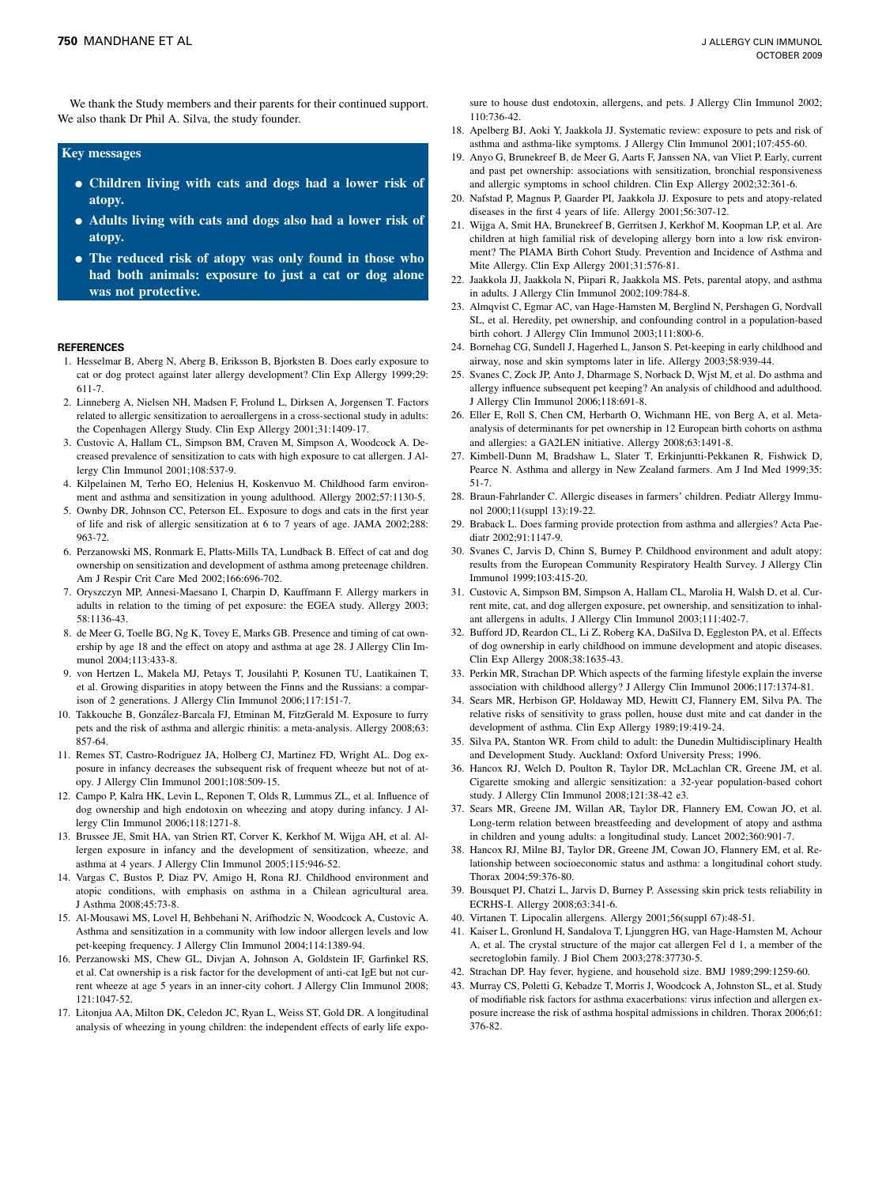<span id="page-5-0"></span>We thank the Study members and their parents for their continued support. We also thank Dr Phil A. Silva, the study founder.

#### Key messages

- <sup>d</sup> Children living with cats and dogs had a lower risk of atopy.
- <sup>d</sup> Adults living with cats and dogs also had a lower risk of atopy.
- The reduced risk of atopy was only found in those who had both animals: exposure to just a cat or dog alone was not protective.

#### REFERENCES

- 1. Hesselmar B, Aberg N, Aberg B, Eriksson B, Bjorksten B. Does early exposure to cat or dog protect against later allergy development? Clin Exp Allergy 1999;29: 611-7.
- 2. Linneberg A, Nielsen NH, Madsen F, Frolund L, Dirksen A, Jorgensen T. Factors related to allergic sensitization to aeroallergens in a cross-sectional study in adults: the Copenhagen Allergy Study. Clin Exp Allergy 2001;31:1409-17.
- 3. Custovic A, Hallam CL, Simpson BM, Craven M, Simpson A, Woodcock A. Decreased prevalence of sensitization to cats with high exposure to cat allergen. J Allergy Clin Immunol 2001;108:537-9.
- 4. Kilpelainen M, Terho EO, Helenius H, Koskenvuo M. Childhood farm environment and asthma and sensitization in young adulthood. Allergy 2002;57:1130-5.
- 5. Ownby DR, Johnson CC, Peterson EL. Exposure to dogs and cats in the first year of life and risk of allergic sensitization at 6 to 7 years of age. JAMA 2002;288: 963-72.
- 6. Perzanowski MS, Ronmark E, Platts-Mills TA, Lundback B. Effect of cat and dog ownership on sensitization and development of asthma among preteenage children. Am J Respir Crit Care Med 2002;166:696-702.
- 7. Oryszczyn MP, Annesi-Maesano I, Charpin D, Kauffmann F. Allergy markers in adults in relation to the timing of pet exposure: the EGEA study. Allergy 2003; 58:1136-43.
- 8. de Meer G, Toelle BG, Ng K, Tovey E, Marks GB. Presence and timing of cat ownership by age 18 and the effect on atopy and asthma at age 28. J Allergy Clin Immunol 2004;113:433-8.
- 9. von Hertzen L, Makela MJ, Petays T, Jousilahti P, Kosunen TU, Laatikainen T, et al. Growing disparities in atopy between the Finns and the Russians: a comparison of 2 generations. J Allergy Clin Immunol 2006;117:151-7.
- 10. Takkouche B, Gonza´lez-Barcala FJ, Etminan M, FitzGerald M. Exposure to furry pets and the risk of asthma and allergic rhinitis: a meta-analysis. Allergy 2008;63: 857-64.
- 11. Remes ST, Castro-Rodriguez JA, Holberg CJ, Martinez FD, Wright AL. Dog exposure in infancy decreases the subsequent risk of frequent wheeze but not of atopy. J Allergy Clin Immunol 2001;108:509-15.
- 12. Campo P, Kalra HK, Levin L, Reponen T, Olds R, Lummus ZL, et al. Influence of dog ownership and high endotoxin on wheezing and atopy during infancy. J Allergy Clin Immunol 2006;118:1271-8.
- 13. Brussee JE, Smit HA, van Strien RT, Corver K, Kerkhof M, Wijga AH, et al. Allergen exposure in infancy and the development of sensitization, wheeze, and asthma at 4 years. J Allergy Clin Immunol 2005;115:946-52.
- 14. Vargas C, Bustos P, Diaz PV, Amigo H, Rona RJ. Childhood environment and atopic conditions, with emphasis on asthma in a Chilean agricultural area. J Asthma 2008;45:73-8.
- 15. Al-Mousawi MS, Lovel H, Behbehani N, Arifhodzic N, Woodcock A, Custovic A. Asthma and sensitization in a community with low indoor allergen levels and low pet-keeping frequency. J Allergy Clin Immunol 2004;114:1389-94.
- 16. Perzanowski MS, Chew GL, Divjan A, Johnson A, Goldstein IF, Garfinkel RS, et al. Cat ownership is a risk factor for the development of anti-cat IgE but not current wheeze at age 5 years in an inner-city cohort. J Allergy Clin Immunol 2008; 121:1047-52.
- 17. Litonjua AA, Milton DK, Celedon JC, Ryan L, Weiss ST, Gold DR. A longitudinal analysis of wheezing in young children: the independent effects of early life expo-

sure to house dust endotoxin, allergens, and pets. J Allergy Clin Immunol 2002; 110:736-42.

- 18. Apelberg BJ, Aoki Y, Jaakkola JJ. Systematic review: exposure to pets and risk of asthma and asthma-like symptoms. J Allergy Clin Immunol 2001;107:455-60.
- 19. Anyo G, Brunekreef B, de Meer G, Aarts F, Janssen NA, van Vliet P. Early, current and past pet ownership: associations with sensitization, bronchial responsiveness and allergic symptoms in school children. Clin Exp Allergy 2002;32:361-6.
- 20. Nafstad P, Magnus P, Gaarder PI, Jaakkola JJ. Exposure to pets and atopy-related diseases in the first 4 years of life. Allergy 2001;56:307-12.
- 21. Wijga A, Smit HA, Brunekreef B, Gerritsen J, Kerkhof M, Koopman LP, et al. Are children at high familial risk of developing allergy born into a low risk environment? The PIAMA Birth Cohort Study. Prevention and Incidence of Asthma and Mite Allergy. Clin Exp Allergy 2001;31:576-81.
- 22. Jaakkola JJ, Jaakkola N, Piipari R, Jaakkola MS. Pets, parental atopy, and asthma in adults. J Allergy Clin Immunol 2002;109:784-8.
- 23. Almqvist C, Egmar AC, van Hage-Hamsten M, Berglind N, Pershagen G, Nordvall SL, et al. Heredity, pet ownership, and confounding control in a population-based birth cohort. J Allergy Clin Immunol 2003;111:800-6.
- 24. Bornehag CG, Sundell J, Hagerhed L, Janson S. Pet-keeping in early childhood and airway, nose and skin symptoms later in life. Allergy 2003;58:939-44.
- 25. Svanes C, Zock JP, Anto J, Dharmage S, Norback D, Wjst M, et al. Do asthma and allergy influence subsequent pet keeping? An analysis of childhood and adulthood. J Allergy Clin Immunol 2006;118:691-8.
- 26. Eller E, Roll S, Chen CM, Herbarth O, Wichmann HE, von Berg A, et al. Metaanalysis of determinants for pet ownership in 12 European birth cohorts on asthma and allergies: a GA2LEN initiative. Allergy 2008;63:1491-8.
- 27. Kimbell-Dunn M, Bradshaw L, Slater T, Erkinjuntti-Pekkanen R, Fishwick D, Pearce N. Asthma and allergy in New Zealand farmers. Am J Ind Med 1999;35: 51-7.
- 28. Braun-Fahrlander C. Allergic diseases in farmers' children. Pediatr Allergy Immunol 2000;11(suppl 13):19-22.
- 29. Braback L. Does farming provide protection from asthma and allergies? Acta Paediatr 2002;91:1147-9.
- 30. Svanes C, Jarvis D, Chinn S, Burney P. Childhood environment and adult atopy: results from the European Community Respiratory Health Survey. J Allergy Clin Immunol 1999;103:415-20.
- 31. Custovic A, Simpson BM, Simpson A, Hallam CL, Marolia H, Walsh D, et al. Current mite, cat, and dog allergen exposure, pet ownership, and sensitization to inhalant allergens in adults. J Allergy Clin Immunol 2003;111:402-7.
- 32. Bufford JD, Reardon CL, Li Z, Roberg KA, DaSilva D, Eggleston PA, et al. Effects of dog ownership in early childhood on immune development and atopic diseases. Clin Exp Allergy 2008;38:1635-43.
- 33. Perkin MR, Strachan DP. Which aspects of the farming lifestyle explain the inverse association with childhood allergy? J Allergy Clin Immunol 2006;117:1374-81.
- 34. Sears MR, Herbison GP, Holdaway MD, Hewitt CJ, Flannery EM, Silva PA. The relative risks of sensitivity to grass pollen, house dust mite and cat dander in the development of asthma. Clin Exp Allergy 1989;19:419-24.
- 35. Silva PA, Stanton WR. From child to adult: the Dunedin Multidisciplinary Health and Development Study. Auckland: Oxford University Press; 1996.
- 36. Hancox RJ, Welch D, Poulton R, Taylor DR, McLachlan CR, Greene JM, et al. Cigarette smoking and allergic sensitization: a 32-year population-based cohort study. J Allergy Clin Immunol 2008;121:38-42 e3.
- 37. Sears MR, Greene JM, Willan AR, Taylor DR, Flannery EM, Cowan JO, et al. Long-term relation between breastfeeding and development of atopy and asthma in children and young adults: a longitudinal study. Lancet 2002;360:901-7.
- 38. Hancox RJ, Milne BJ, Taylor DR, Greene JM, Cowan JO, Flannery EM, et al. Relationship between socioeconomic status and asthma: a longitudinal cohort study. Thorax 2004;59:376-80.
- 39. Bousquet PJ, Chatzi L, Jarvis D, Burney P. Assessing skin prick tests reliability in ECRHS-I. Allergy 2008;63:341-6.
- 40. Virtanen T. Lipocalin allergens. Allergy 2001;56(suppl 67):48-51.
- 41. Kaiser L, Gronlund H, Sandalova T, Ljunggren HG, van Hage-Hamsten M, Achour A, et al. The crystal structure of the major cat allergen Fel d 1, a member of the secretoglobin family. J Biol Chem 2003;278:37730-5.
- 42. Strachan DP. Hay fever, hygiene, and household size. BMJ 1989;299:1259-60.
- 43. Murray CS, Poletti G, Kebadze T, Morris J, Woodcock A, Johnston SL, et al. Study of modifiable risk factors for asthma exacerbations: virus infection and allergen exposure increase the risk of asthma hospital admissions in children. Thorax 2006;61: 376-82.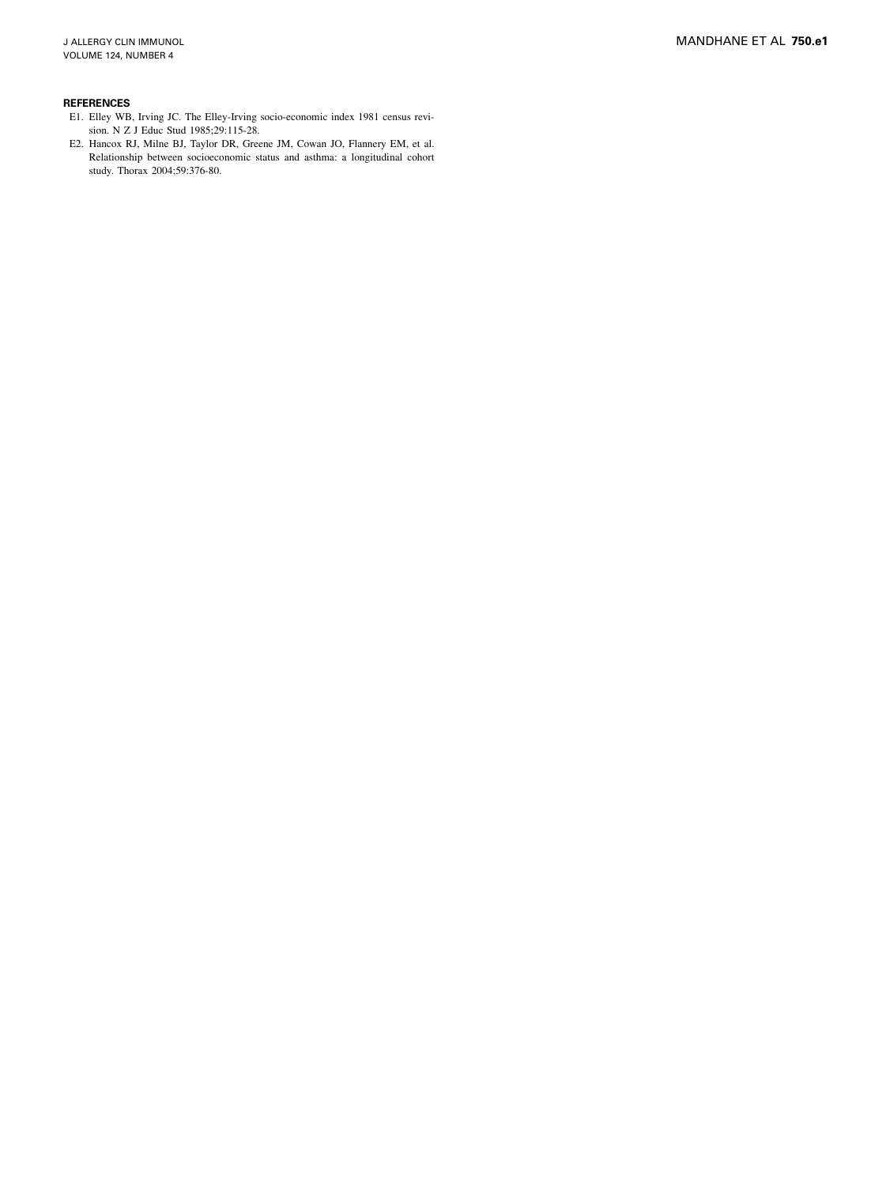#### <span id="page-6-0"></span>REFERENCES

- E1. Elley WB, Irving JC. The Elley-Irving socio-economic index 1981 census revision. N Z J Educ Stud 1985;29:115-28.
- E2. Hancox RJ, Milne BJ, Taylor DR, Greene JM, Cowan JO, Flannery EM, et al. Relationship between socioeconomic status and asthma: a longitudinal cohort study. Thorax 2004;59:376-80.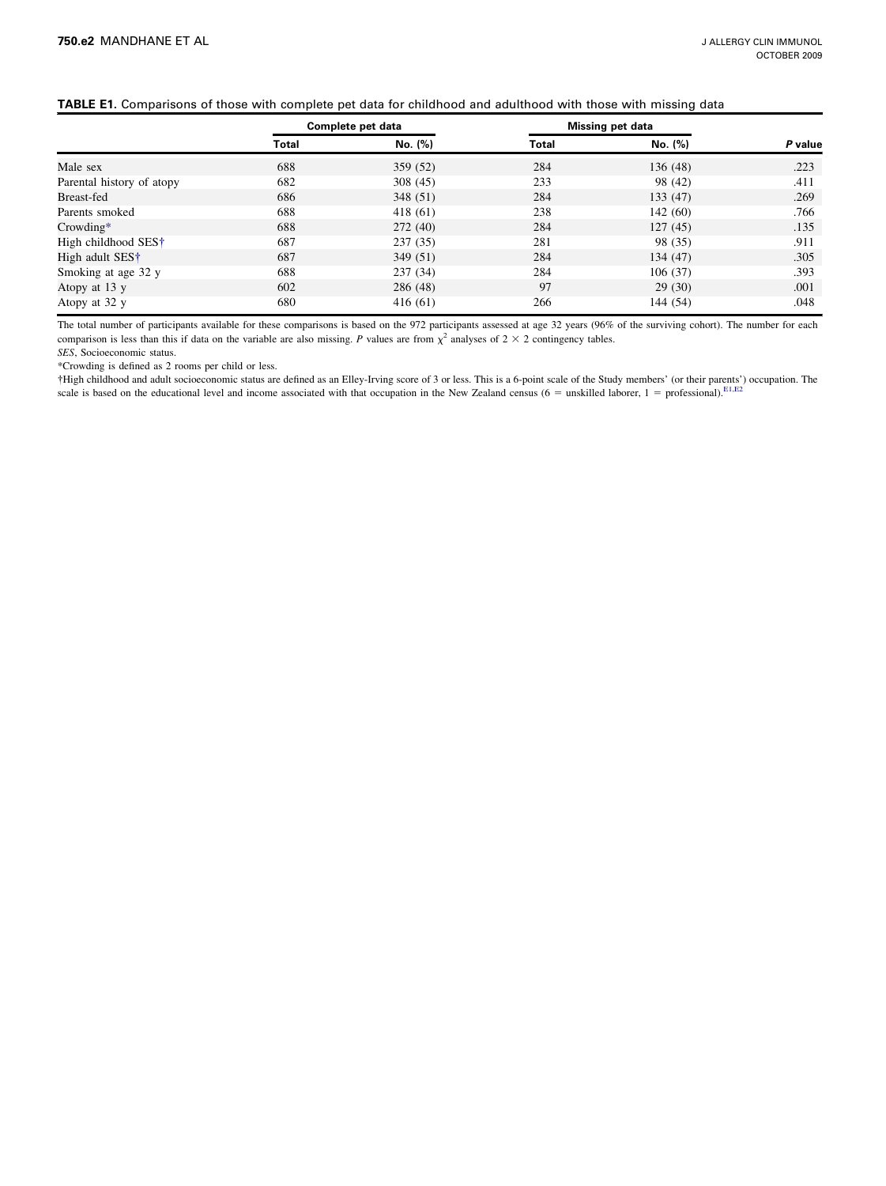# TABLE E1. Comparisons of those with complete pet data for childhood and adulthood with those with missing data

|                                 |       | Complete pet data |       | <b>Missing pet data</b> |         |
|---------------------------------|-------|-------------------|-------|-------------------------|---------|
|                                 | Total | No. (%)           | Total | No. (%)                 | P value |
| Male sex                        | 688   | 359 (52)          | 284   | 136(48)                 | .223    |
| Parental history of atopy       | 682   | 308 (45)          | 233   | 98 (42)                 | .411    |
| Breast-fed                      | 686   | 348(51)           | 284   | 133(47)                 | .269    |
| Parents smoked                  | 688   | 418 (61)          | 238   | 142(60)                 | .766    |
| $Crowding*$                     | 688   | 272(40)           | 284   | 127(45)                 | .135    |
| High childhood SES <sup>†</sup> | 687   | 237(35)           | 281   | 98 (35)                 | .911    |
| High adult SES <sup>†</sup>     | 687   | 349(51)           | 284   | 134(47)                 | .305    |
| Smoking at age 32 y             | 688   | 237(34)           | 284   | 106(37)                 | .393    |
| Atopy at 13 y                   | 602   | 286 (48)          | 97    | 29(30)                  | .001    |
| Atopy at 32 y                   | 680   | 416(61)           | 266   | 144 (54)                | .048    |

The total number of participants available for these comparisons is based on the 972 participants assessed at age 32 years (96% of the surviving cohort). The number for each comparison is less than this if data on the var

SES, Socioeconomic status.

\*Crowding is defined as 2 rooms per child or less.

-High childhood and adult socioeconomic status are defined as an Elley-Irving score of 3 or less. This is a 6-point scale of the Study members' (or their parents') occupation. The scale is based on the educational level and income associated with that occupation in the New Zealand census (6 = unskilled laborer, 1 = professional).<sup>[E1,E2](#page-6-0)</sup>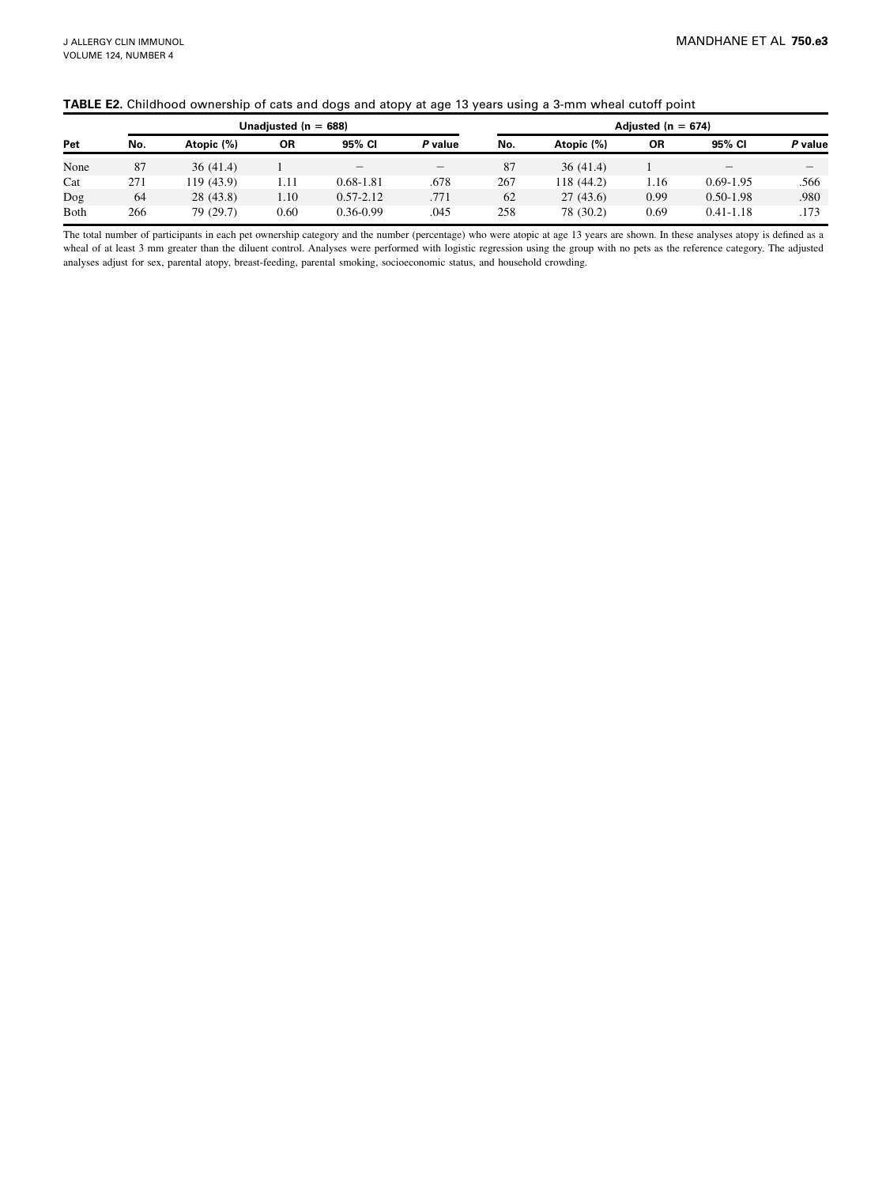|              |     |            |                          | . .           |                          |     | . .        |                        |               |         |
|--------------|-----|------------|--------------------------|---------------|--------------------------|-----|------------|------------------------|---------------|---------|
|              |     |            | Unadjusted ( $n = 688$ ) |               |                          |     |            | Adjusted ( $n = 674$ ) |               |         |
| Pet          | No. | Atopic (%) | ΟR                       | 95% CI        | P value                  | No. | Atopic (%) | <b>OR</b>              | 95% CI        | P value |
| None         | 87  | 36(41.4)   |                          |               | $\overline{\phantom{a}}$ | 87  | 36(41.4)   |                        |               |         |
| Cat          | 271 | 119 (43.9) | 1.11                     | $0.68 - 1.81$ | .678                     | 267 | 118 (44.2) | 1.16                   | $0.69 - 1.95$ | .566    |
| Dog          | 64  | 28(43.8)   | 1.10                     | $0.57 - 2.12$ | .771                     | 62  | 27(43.6)   | 0.99                   | $0.50 - 1.98$ | .980    |
| <b>B</b> oth | 266 | 79 (29.7)  | 0.60                     | $0.36 - 0.99$ | .045                     | 258 | 78 (30.2)  | 0.69                   | $0.41 - 1.18$ | .173    |

The total number of participants in each pet ownership category and the number (percentage) who were atopic at age 13 years are shown. In these analyses atopy is defined as a wheal of at least 3 mm greater than the diluent control. Analyses were performed with logistic regression using the group with no pets as the reference category. The adjusted analyses adjust for sex, parental atopy, breast-feeding, parental smoking, socioeconomic status, and household crowding.